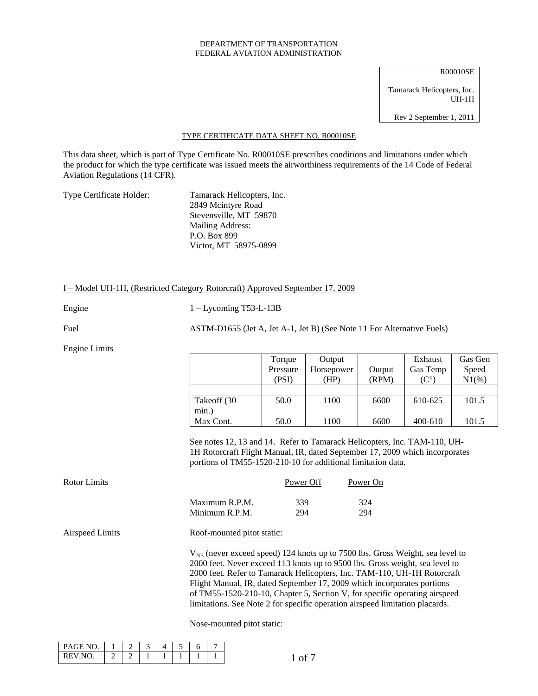#### DEPARTMENT OF TRANSPORTATION FEDERAL AVIATION ADMINISTRATION

R00010SE Tamarack Helicopters, Inc. UH-1H Rev 2 September 1, 2011

#### TYPE CERTIFICATE DATA SHEET NO. R00010SE

This data sheet, which is part of Type Certificate No. R00010SE prescribes conditions and limitations under which the product for which the type certificate was issued meets the airworthiness requirements of the 14 Code of Federal Aviation Regulations (14 CFR).

Type Certificate Holder: Tamarack Helicopters, Inc.

 2849 Mcintyre Road Stevensville, MT 59870 Mailing Address: P.O. Box 899 Victor, MT 58975-0899

### I – Model UH-1H, (Restricted Category Rotorcraft) Approved September 17, 2009

Engine 1 – Lycoming T53-L-13B

Fuel ASTM-D1655 (Jet A, Jet A-1, Jet B) (See Note 11 For Alternative Fuels)

Engine Limits

|             | Torque   | Output     |        | Exhaust  | Gas Gen  |
|-------------|----------|------------|--------|----------|----------|
|             | Pressure | Horsepower | Output | Gas Temp | Speed    |
|             | (PSI     | (HP        | (RPM)  |          | $N1(\%)$ |
|             |          |            |        |          |          |
| Takeoff (30 | 50.0     | 1100       | 6600   | 610-625  | 101.5    |
| min.)       |          |            |        |          |          |
| Max Cont.   | 50.0     | 1100       | 6600   | 400-610  | 101.5    |

See notes 12, 13 and 14. Refer to Tamarack Helicopters, Inc. TAM-110, UH-1H Rotorcraft Flight Manual, IR, dated September 17, 2009 which incorporates portions of TM55-1520-210-10 for additional limitation data.

| Rotor Limits |                | Power Off | Power On |
|--------------|----------------|-----------|----------|
|              | Maximum R.P.M. | 339       | 324      |
|              | Minimum R.P.M. | 294       | 294      |

Airspeed Limits Roof-mounted pitot static:

 $V_{NE}$  (never exceed speed) 124 knots up to 7500 lbs. Gross Weight, sea level to 2000 feet. Never exceed 113 knots up to 9500 lbs. Gross weight, sea level to 2000 feet. Refer to Tamarack Helicopters, Inc. TAM-110, UH-1H Rotorcraft Flight Manual, IR, dated September 17, 2009 which incorporates portions of TM55-1520-210-10, Chapter 5, Section V, for specific operating airspeed limitations. See Note 2 for specific operation airspeed limitation placards.

Nose-mounted pitot static:

| L PAGE NO |   |        | Δ | $\overline{\phantom{0}}$<br>$\overline{\phantom{a}}$ |  |
|-----------|---|--------|---|------------------------------------------------------|--|
| REV NO    | - | -<br>- |   |                                                      |  |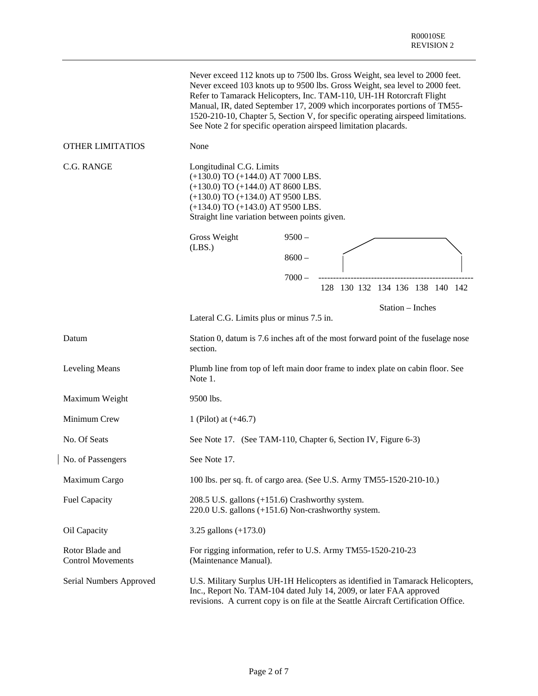|                                             |                                                                                                                                                                                                                                               | See Note 2 for specific operation airspeed limitation placards.                                        | Never exceed 112 knots up to 7500 lbs. Gross Weight, sea level to 2000 feet.<br>Never exceed 103 knots up to 9500 lbs. Gross Weight, sea level to 2000 feet.<br>Refer to Tamarack Helicopters, Inc. TAM-110, UH-1H Rotorcraft Flight<br>Manual, IR, dated September 17, 2009 which incorporates portions of TM55-<br>1520-210-10, Chapter 5, Section V, for specific operating airspeed limitations. |
|---------------------------------------------|-----------------------------------------------------------------------------------------------------------------------------------------------------------------------------------------------------------------------------------------------|--------------------------------------------------------------------------------------------------------|------------------------------------------------------------------------------------------------------------------------------------------------------------------------------------------------------------------------------------------------------------------------------------------------------------------------------------------------------------------------------------------------------|
| <b>OTHER LIMITATIOS</b>                     | None                                                                                                                                                                                                                                          |                                                                                                        |                                                                                                                                                                                                                                                                                                                                                                                                      |
| C.G. RANGE                                  | Longitudinal C.G. Limits<br>$(+130.0)$ TO $(+144.0)$ AT 7000 LBS.<br>$(+130.0)$ TO $(+144.0)$ AT 8600 LBS.<br>$(+130.0)$ TO $(+134.0)$ AT 9500 LBS.<br>$(+134.0)$ TO $(+143.0)$ AT 9500 LBS.<br>Straight line variation between points given. |                                                                                                        |                                                                                                                                                                                                                                                                                                                                                                                                      |
|                                             | Gross Weight                                                                                                                                                                                                                                  | $9500 -$                                                                                               |                                                                                                                                                                                                                                                                                                                                                                                                      |
|                                             | (LBS.)                                                                                                                                                                                                                                        | $8600 -$                                                                                               |                                                                                                                                                                                                                                                                                                                                                                                                      |
|                                             |                                                                                                                                                                                                                                               | $7000 -$                                                                                               | 128 130 132 134 136 138 140 142                                                                                                                                                                                                                                                                                                                                                                      |
|                                             | Lateral C.G. Limits plus or minus 7.5 in.                                                                                                                                                                                                     |                                                                                                        | Station - Inches                                                                                                                                                                                                                                                                                                                                                                                     |
| Datum                                       | section.                                                                                                                                                                                                                                      |                                                                                                        | Station 0, datum is 7.6 inches aft of the most forward point of the fuselage nose                                                                                                                                                                                                                                                                                                                    |
| <b>Leveling Means</b>                       | Note 1.                                                                                                                                                                                                                                       |                                                                                                        | Plumb line from top of left main door frame to index plate on cabin floor. See                                                                                                                                                                                                                                                                                                                       |
| Maximum Weight                              | 9500 lbs.                                                                                                                                                                                                                                     |                                                                                                        |                                                                                                                                                                                                                                                                                                                                                                                                      |
| Minimum Crew                                | 1 (Pilot) at $(+46.7)$                                                                                                                                                                                                                        |                                                                                                        |                                                                                                                                                                                                                                                                                                                                                                                                      |
| No. Of Seats                                |                                                                                                                                                                                                                                               | See Note 17. (See TAM-110, Chapter 6, Section IV, Figure 6-3)                                          |                                                                                                                                                                                                                                                                                                                                                                                                      |
| No. of Passengers                           | See Note 17.                                                                                                                                                                                                                                  |                                                                                                        |                                                                                                                                                                                                                                                                                                                                                                                                      |
| Maximum Cargo                               |                                                                                                                                                                                                                                               | 100 lbs. per sq. ft. of cargo area. (See U.S. Army TM55-1520-210-10.)                                  |                                                                                                                                                                                                                                                                                                                                                                                                      |
| <b>Fuel Capacity</b>                        |                                                                                                                                                                                                                                               | 208.5 U.S. gallons (+151.6) Crashworthy system.<br>220.0 U.S. gallons (+151.6) Non-crashworthy system. |                                                                                                                                                                                                                                                                                                                                                                                                      |
| Oil Capacity                                | 3.25 gallons $(+173.0)$                                                                                                                                                                                                                       |                                                                                                        |                                                                                                                                                                                                                                                                                                                                                                                                      |
| Rotor Blade and<br><b>Control Movements</b> | (Maintenance Manual).                                                                                                                                                                                                                         | For rigging information, refer to U.S. Army TM55-1520-210-23                                           |                                                                                                                                                                                                                                                                                                                                                                                                      |
| Serial Numbers Approved                     |                                                                                                                                                                                                                                               | Inc., Report No. TAM-104 dated July 14, 2009, or later FAA approved                                    | U.S. Military Surplus UH-1H Helicopters as identified in Tamarack Helicopters,<br>revisions. A current copy is on file at the Seattle Aircraft Certification Office.                                                                                                                                                                                                                                 |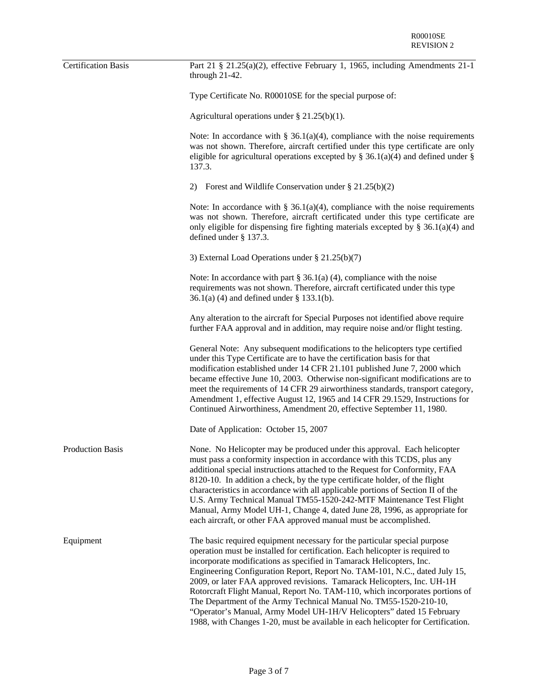| <b>Certification Basis</b> | Part 21 § 21.25(a)(2), effective February 1, 1965, including Amendments $21-1$<br>through 21-42.                                                                                                                                                                                                                                                                                                                                                                                                                                                                                                                                                                                                              |
|----------------------------|---------------------------------------------------------------------------------------------------------------------------------------------------------------------------------------------------------------------------------------------------------------------------------------------------------------------------------------------------------------------------------------------------------------------------------------------------------------------------------------------------------------------------------------------------------------------------------------------------------------------------------------------------------------------------------------------------------------|
|                            | Type Certificate No. R00010SE for the special purpose of:                                                                                                                                                                                                                                                                                                                                                                                                                                                                                                                                                                                                                                                     |
|                            | Agricultural operations under $\S 21.25(b)(1)$ .                                                                                                                                                                                                                                                                                                                                                                                                                                                                                                                                                                                                                                                              |
|                            | Note: In accordance with $\S$ 36.1(a)(4), compliance with the noise requirements<br>was not shown. Therefore, aircraft certified under this type certificate are only<br>eligible for agricultural operations excepted by $\S$ 36.1(a)(4) and defined under $\S$<br>137.3.                                                                                                                                                                                                                                                                                                                                                                                                                                    |
|                            | 2) Forest and Wildlife Conservation under $\S 21.25(b)(2)$                                                                                                                                                                                                                                                                                                                                                                                                                                                                                                                                                                                                                                                    |
|                            | Note: In accordance with $\S$ 36.1(a)(4), compliance with the noise requirements<br>was not shown. Therefore, aircraft certificated under this type certificate are<br>only eligible for dispensing fire fighting materials excepted by $\S$ 36.1(a)(4) and<br>defined under $\S$ 137.3.                                                                                                                                                                                                                                                                                                                                                                                                                      |
|                            | 3) External Load Operations under § 21.25(b)(7)                                                                                                                                                                                                                                                                                                                                                                                                                                                                                                                                                                                                                                                               |
|                            | Note: In accordance with part $\S$ 36.1(a) (4), compliance with the noise<br>requirements was not shown. Therefore, aircraft certificated under this type<br>$36.1(a)$ (4) and defined under § 133.1(b).                                                                                                                                                                                                                                                                                                                                                                                                                                                                                                      |
|                            | Any alteration to the aircraft for Special Purposes not identified above require<br>further FAA approval and in addition, may require noise and/or flight testing.                                                                                                                                                                                                                                                                                                                                                                                                                                                                                                                                            |
|                            | General Note: Any subsequent modifications to the helicopters type certified<br>under this Type Certificate are to have the certification basis for that<br>modification established under 14 CFR 21.101 published June 7, 2000 which<br>became effective June 10, 2003. Otherwise non-significant modifications are to<br>meet the requirements of 14 CFR 29 airworthiness standards, transport category,<br>Amendment 1, effective August 12, 1965 and 14 CFR 29.1529, Instructions for<br>Continued Airworthiness, Amendment 20, effective September 11, 1980.                                                                                                                                             |
|                            | Date of Application: October 15, 2007                                                                                                                                                                                                                                                                                                                                                                                                                                                                                                                                                                                                                                                                         |
| <b>Production Basis</b>    | None. No Helicopter may be produced under this approval. Each helicopter<br>must pass a conformity inspection in accordance with this TCDS, plus any<br>additional special instructions attached to the Request for Conformity, FAA<br>8120-10. In addition a check, by the type certificate holder, of the flight<br>characteristics in accordance with all applicable portions of Section II of the<br>U.S. Army Technical Manual TM55-1520-242-MTF Maintenance Test Flight<br>Manual, Army Model UH-1, Change 4, dated June 28, 1996, as appropriate for<br>each aircraft, or other FAA approved manual must be accomplished.                                                                              |
| Equipment                  | The basic required equipment necessary for the particular special purpose<br>operation must be installed for certification. Each helicopter is required to<br>incorporate modifications as specified in Tamarack Helicopters, Inc.<br>Engineering Configuration Report, Report No. TAM-101, N.C., dated July 15,<br>2009, or later FAA approved revisions. Tamarack Helicopters, Inc. UH-1H<br>Rotorcraft Flight Manual, Report No. TAM-110, which incorporates portions of<br>The Department of the Army Technical Manual No. TM55-1520-210-10,<br>"Operator's Manual, Army Model UH-1H/V Helicopters" dated 15 February<br>1988, with Changes 1-20, must be available in each helicopter for Certification. |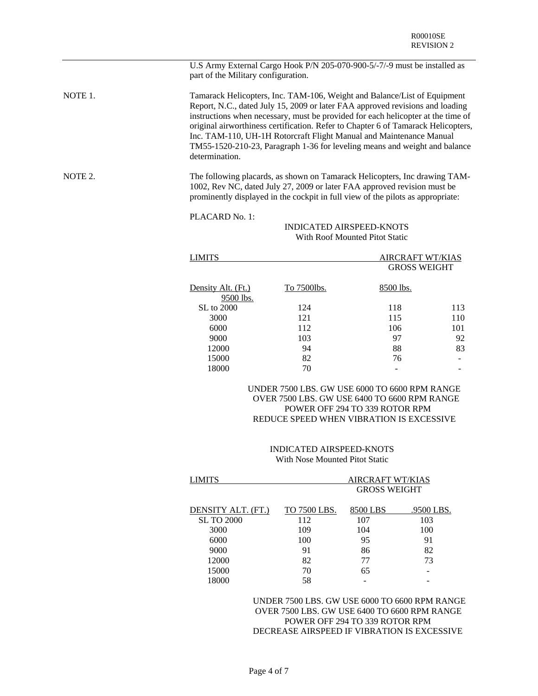|         | part of the Military configuration. | U.S Army External Cargo Hook P/N 205-070-900-5/-7/-9 must be installed as                                                                                                                                                                                                                                                                                                                                                                                                               |                                                |     |  |  |  |  |
|---------|-------------------------------------|-----------------------------------------------------------------------------------------------------------------------------------------------------------------------------------------------------------------------------------------------------------------------------------------------------------------------------------------------------------------------------------------------------------------------------------------------------------------------------------------|------------------------------------------------|-----|--|--|--|--|
| NOTE 1. | determination.                      | Tamarack Helicopters, Inc. TAM-106, Weight and Balance/List of Equipment<br>Report, N.C., dated July 15, 2009 or later FAA approved revisions and loading<br>instructions when necessary, must be provided for each helicopter at the time of<br>original airworthiness certification. Refer to Chapter 6 of Tamarack Helicopters,<br>Inc. TAM-110, UH-1H Rotorcraft Flight Manual and Maintenance Manual<br>TM55-1520-210-23, Paragraph 1-36 for leveling means and weight and balance |                                                |     |  |  |  |  |
| NOTE 2. |                                     | The following placards, as shown on Tamarack Helicopters, Inc drawing TAM-<br>1002, Rev NC, dated July 27, 2009 or later FAA approved revision must be<br>prominently displayed in the cockpit in full view of the pilots as appropriate:                                                                                                                                                                                                                                               |                                                |     |  |  |  |  |
|         | PLACARD No. 1:                      |                                                                                                                                                                                                                                                                                                                                                                                                                                                                                         |                                                |     |  |  |  |  |
|         |                                     | <b>INDICATED AIRSPEED-KNOTS</b>                                                                                                                                                                                                                                                                                                                                                                                                                                                         |                                                |     |  |  |  |  |
|         |                                     | With Roof Mounted Pitot Static                                                                                                                                                                                                                                                                                                                                                                                                                                                          |                                                |     |  |  |  |  |
|         | <b>LIMITS</b>                       |                                                                                                                                                                                                                                                                                                                                                                                                                                                                                         | <b>AIRCRAFT WT/KIAS</b><br><b>GROSS WEIGHT</b> |     |  |  |  |  |
|         | Density Alt. (Ft.)<br>9500 lbs.     | To 7500lbs.                                                                                                                                                                                                                                                                                                                                                                                                                                                                             | 8500 lbs.                                      |     |  |  |  |  |
|         | SL to 2000                          | 124                                                                                                                                                                                                                                                                                                                                                                                                                                                                                     | 118                                            | 113 |  |  |  |  |
|         | 3000                                | 121                                                                                                                                                                                                                                                                                                                                                                                                                                                                                     | 115                                            | 110 |  |  |  |  |
|         | 6000                                | 112                                                                                                                                                                                                                                                                                                                                                                                                                                                                                     | 106                                            | 101 |  |  |  |  |
|         | 9000                                | 103                                                                                                                                                                                                                                                                                                                                                                                                                                                                                     | 97                                             | 92  |  |  |  |  |
|         | 12000                               | 94                                                                                                                                                                                                                                                                                                                                                                                                                                                                                      | 88                                             | 83  |  |  |  |  |
|         | 15000                               | 82                                                                                                                                                                                                                                                                                                                                                                                                                                                                                      | 76                                             |     |  |  |  |  |
|         | 18000                               | 70                                                                                                                                                                                                                                                                                                                                                                                                                                                                                      |                                                |     |  |  |  |  |
|         |                                     | UNDER 7500 LBS. GW USE 6000 TO 6600 RPM RANGE                                                                                                                                                                                                                                                                                                                                                                                                                                           |                                                |     |  |  |  |  |

# OVER 7500 LBS. GW USE 6400 TO 6600 RPM RANGE POWER OFF 294 TO 339 ROTOR RPM REDUCE SPEED WHEN VIBRATION IS EXCESSIVE

## INDICATED AIRSPEED-KNOTS With Nose Mounted Pitot Static

| LIMITS             |              |                     | <b>AIRCRAFT WT/KIAS</b> |  |  |
|--------------------|--------------|---------------------|-------------------------|--|--|
|                    |              | <b>GROSS WEIGHT</b> |                         |  |  |
|                    |              |                     |                         |  |  |
| DENSITY ALT. (FT.) | TO 7500 LBS. | 8500 LBS            | .9500 LBS.              |  |  |
| <b>SL TO 2000</b>  | 112          | 107                 | 103                     |  |  |
| 3000               | 109          | 104                 | 100                     |  |  |
| 6000               | 100          | 95                  | 91                      |  |  |
| 9000               | 91           | 86                  | 82                      |  |  |
| 12000              | 82           | 77                  | 73                      |  |  |
| 15000              | 70           | 65                  | -                       |  |  |
| 18000              | 58           |                     |                         |  |  |
|                    |              |                     |                         |  |  |

UNDER 7500 LBS. GW USE 6000 TO 6600 RPM RANGE OVER 7500 LBS. GW USE 6400 TO 6600 RPM RANGE POWER OFF 294 TO 339 ROTOR RPM DECREASE AIRSPEED IF VIBRATION IS EXCESSIVE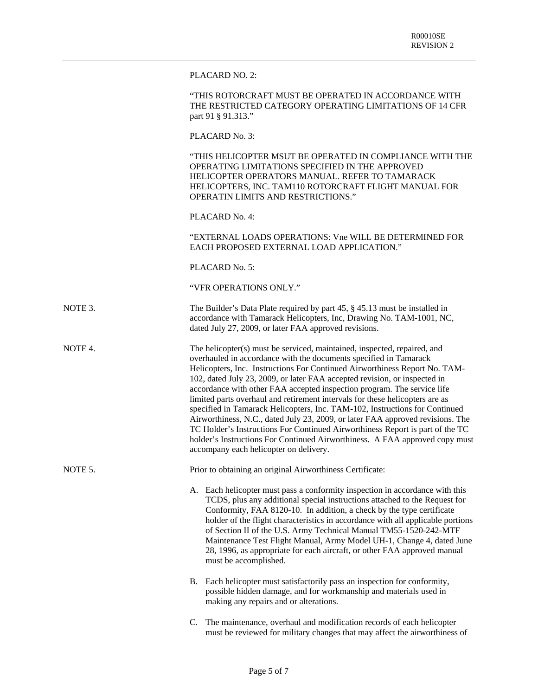PLACARD NO. 2:

| "THIS ROTORCRAFT MUST BE OPERATED IN ACCORDANCE WITH    |
|---------------------------------------------------------|
| THE RESTRICTED CATEGORY OPERATING LIMITATIONS OF 14 CFR |
| part 91 § 91.313."                                      |

PLACARD No. 3:

"THIS HELICOPTER MSUT BE OPERATED IN COMPLIANCE WITH THE OPERATING LIMITATIONS SPECIFIED IN THE APPROVED HELICOPTER OPERATORS MANUAL. REFER TO TAMARACK HELICOPTERS, INC. TAM110 ROTORCRAFT FLIGHT MANUAL FOR OPERATIN LIMITS AND RESTRICTIONS."

PLACARD No. 4:

"EXTERNAL LOADS OPERATIONS: Vne WILL BE DETERMINED FOR EACH PROPOSED EXTERNAL LOAD APPLICATION."

PLACARD No. 5:

"VFR OPERATIONS ONLY."

NOTE 3. The Builder's Data Plate required by part 45, § 45.13 must be installed in accordance with Tamarack Helicopters, Inc, Drawing No. TAM-1001, NC, dated July 27, 2009, or later FAA approved revisions.

NOTE 4. The helicopter(s) must be serviced, maintained, inspected, repaired, and overhauled in accordance with the documents specified in Tamarack Helicopters, Inc. Instructions For Continued Airworthiness Report No. TAM-102, dated July 23, 2009, or later FAA accepted revision, or inspected in accordance with other FAA accepted inspection program. The service life limited parts overhaul and retirement intervals for these helicopters are as specified in Tamarack Helicopters, Inc. TAM-102, Instructions for Continued Airworthiness, N.C., dated July 23, 2009, or later FAA approved revisions. The TC Holder's Instructions For Continued Airworthiness Report is part of the TC holder's Instructions For Continued Airworthiness. A FAA approved copy must accompany each helicopter on delivery.

NOTE 5. Prior to obtaining an original Airworthiness Certificate:

A. Each helicopter must pass a conformity inspection in accordance with this TCDS, plus any additional special instructions attached to the Request for Conformity, FAA 8120-10. In addition, a check by the type certificate holder of the flight characteristics in accordance with all applicable portions of Section II of the U.S. Army Technical Manual TM55-1520-242-MTF Maintenance Test Flight Manual, Army Model UH-1, Change 4, dated June 28, 1996, as appropriate for each aircraft, or other FAA approved manual must be accomplished.

- B. Each helicopter must satisfactorily pass an inspection for conformity, possible hidden damage, and for workmanship and materials used in making any repairs and or alterations.
- C. The maintenance, overhaul and modification records of each helicopter must be reviewed for military changes that may affect the airworthiness of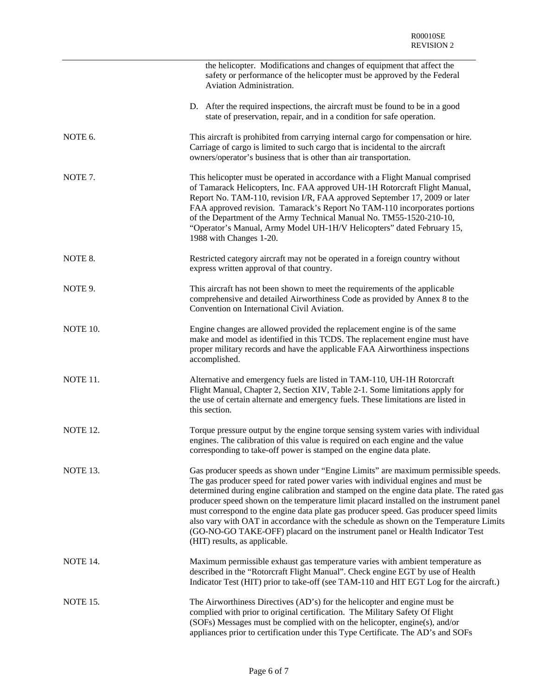|          | the helicopter. Modifications and changes of equipment that affect the<br>safety or performance of the helicopter must be approved by the Federal<br>Aviation Administration.                                                                                                                                                                                                                                                                                                                                                                                                                                                                                      |
|----------|--------------------------------------------------------------------------------------------------------------------------------------------------------------------------------------------------------------------------------------------------------------------------------------------------------------------------------------------------------------------------------------------------------------------------------------------------------------------------------------------------------------------------------------------------------------------------------------------------------------------------------------------------------------------|
|          | D. After the required inspections, the aircraft must be found to be in a good<br>state of preservation, repair, and in a condition for safe operation.                                                                                                                                                                                                                                                                                                                                                                                                                                                                                                             |
| NOTE 6.  | This aircraft is prohibited from carrying internal cargo for compensation or hire.<br>Carriage of cargo is limited to such cargo that is incidental to the aircraft<br>owners/operator's business that is other than air transportation.                                                                                                                                                                                                                                                                                                                                                                                                                           |
| NOTE 7.  | This helicopter must be operated in accordance with a Flight Manual comprised<br>of Tamarack Helicopters, Inc. FAA approved UH-1H Rotorcraft Flight Manual,<br>Report No. TAM-110, revision I/R, FAA approved September 17, 2009 or later<br>FAA approved revision. Tamarack's Report No TAM-110 incorporates portions<br>of the Department of the Army Technical Manual No. TM55-1520-210-10,<br>"Operator's Manual, Army Model UH-1H/V Helicopters" dated February 15,<br>1988 with Changes 1-20.                                                                                                                                                                |
| NOTE 8.  | Restricted category aircraft may not be operated in a foreign country without<br>express written approval of that country.                                                                                                                                                                                                                                                                                                                                                                                                                                                                                                                                         |
| NOTE 9.  | This aircraft has not been shown to meet the requirements of the applicable<br>comprehensive and detailed Airworthiness Code as provided by Annex 8 to the<br>Convention on International Civil Aviation.                                                                                                                                                                                                                                                                                                                                                                                                                                                          |
| NOTE 10. | Engine changes are allowed provided the replacement engine is of the same<br>make and model as identified in this TCDS. The replacement engine must have<br>proper military records and have the applicable FAA Airworthiness inspections<br>accomplished.                                                                                                                                                                                                                                                                                                                                                                                                         |
| NOTE 11. | Alternative and emergency fuels are listed in TAM-110, UH-1H Rotorcraft<br>Flight Manual, Chapter 2, Section XIV, Table 2-1. Some limitations apply for<br>the use of certain alternate and emergency fuels. These limitations are listed in<br>this section.                                                                                                                                                                                                                                                                                                                                                                                                      |
| NOTE 12. | Torque pressure output by the engine torque sensing system varies with individual<br>engines. The calibration of this value is required on each engine and the value<br>corresponding to take-off power is stamped on the engine data plate.                                                                                                                                                                                                                                                                                                                                                                                                                       |
| NOTE 13. | Gas producer speeds as shown under "Engine Limits" are maximum permissible speeds.<br>The gas producer speed for rated power varies with individual engines and must be<br>determined during engine calibration and stamped on the engine data plate. The rated gas<br>producer speed shown on the temperature limit placard installed on the instrument panel<br>must correspond to the engine data plate gas producer speed. Gas producer speed limits<br>also vary with OAT in accordance with the schedule as shown on the Temperature Limits<br>(GO-NO-GO TAKE-OFF) placard on the instrument panel or Health Indicator Test<br>(HIT) results, as applicable. |
| NOTE 14. | Maximum permissible exhaust gas temperature varies with ambient temperature as<br>described in the "Rotorcraft Flight Manual". Check engine EGT by use of Health<br>Indicator Test (HIT) prior to take-off (see TAM-110 and HIT EGT Log for the aircraft.)                                                                                                                                                                                                                                                                                                                                                                                                         |
| NOTE 15. | The Airworthiness Directives (AD's) for the helicopter and engine must be<br>complied with prior to original certification. The Military Safety Of Flight<br>(SOFs) Messages must be complied with on the helicopter, engine(s), and/or<br>appliances prior to certification under this Type Certificate. The AD's and SOFs                                                                                                                                                                                                                                                                                                                                        |